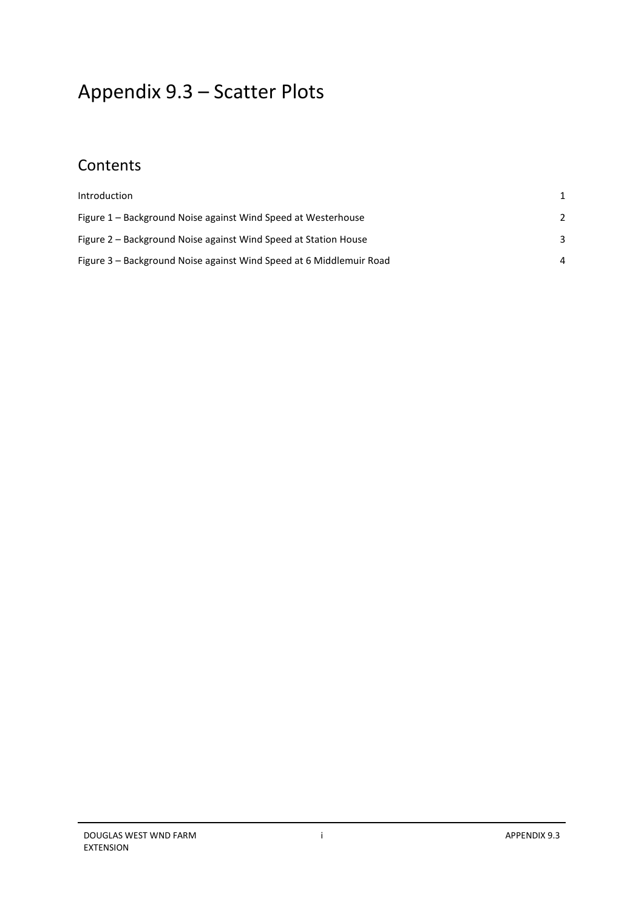# Appendix 9.3 – Scatter Plots

## **Contents**

| <b>Introduction</b>                                                 |               |
|---------------------------------------------------------------------|---------------|
| Figure 1 – Background Noise against Wind Speed at Westerhouse       | $\mathcal{P}$ |
| Figure 2 – Background Noise against Wind Speed at Station House     | 3             |
| Figure 3 – Background Noise against Wind Speed at 6 Middlemuir Road | 4             |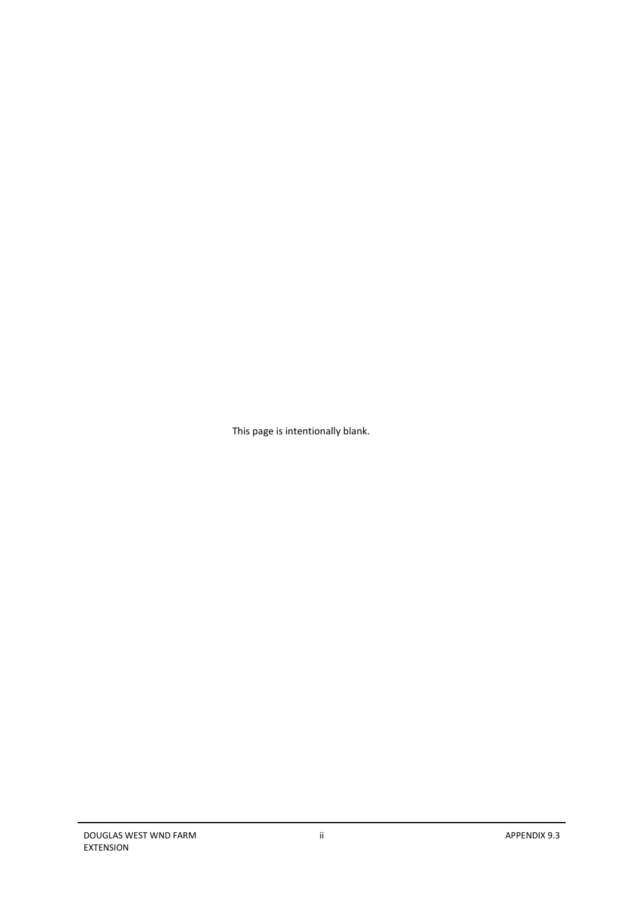This page is intentionally blank.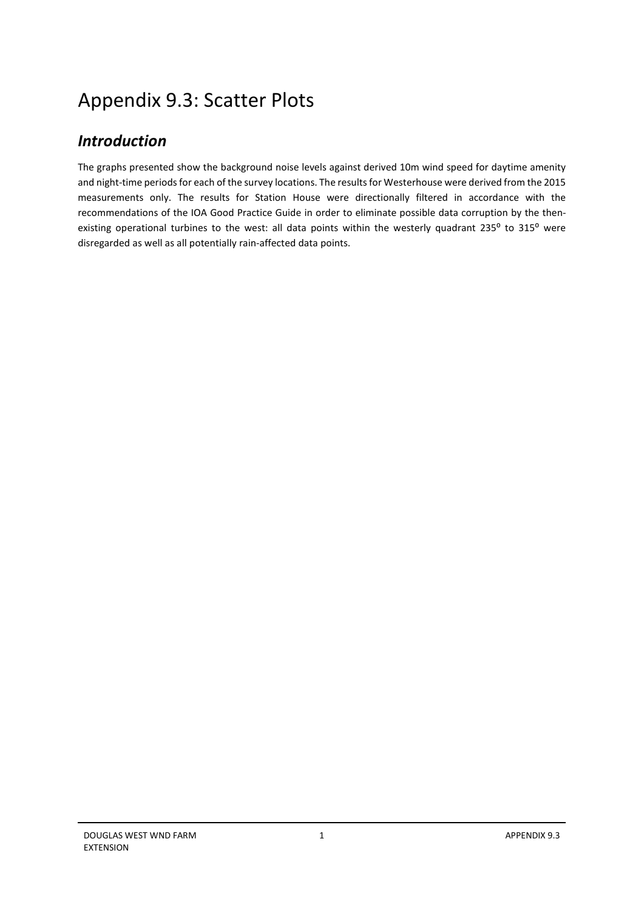# Appendix 9.3: Scatter Plots

### <span id="page-2-0"></span>*Introduction*

The graphs presented show the background noise levels against derived 10m wind speed for daytime amenity and night-time periods for each of the survey locations. The results for Westerhouse were derived from the 2015 measurements only. The results for Station House were directionally filtered in accordance with the recommendations of the IOA Good Practice Guide in order to eliminate possible data corruption by the thenexisting operational turbines to the west: all data points within the westerly quadrant 235° to 315° were disregarded as well as all potentially rain-affected data points.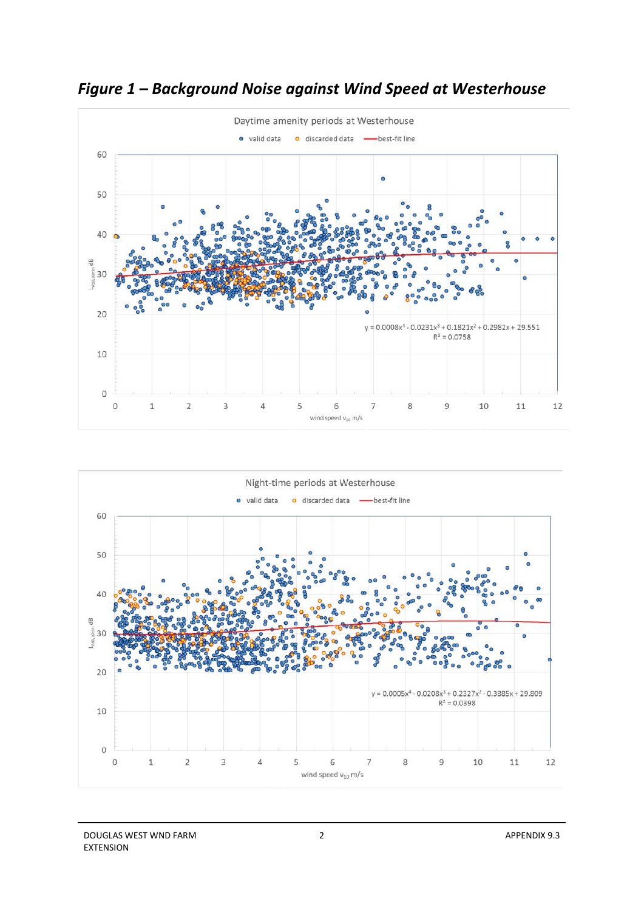

<span id="page-3-0"></span>*Figure 1 – Background Noise against Wind Speed at Westerhouse*



DOUGLAS WEST WND FARM EXTENSION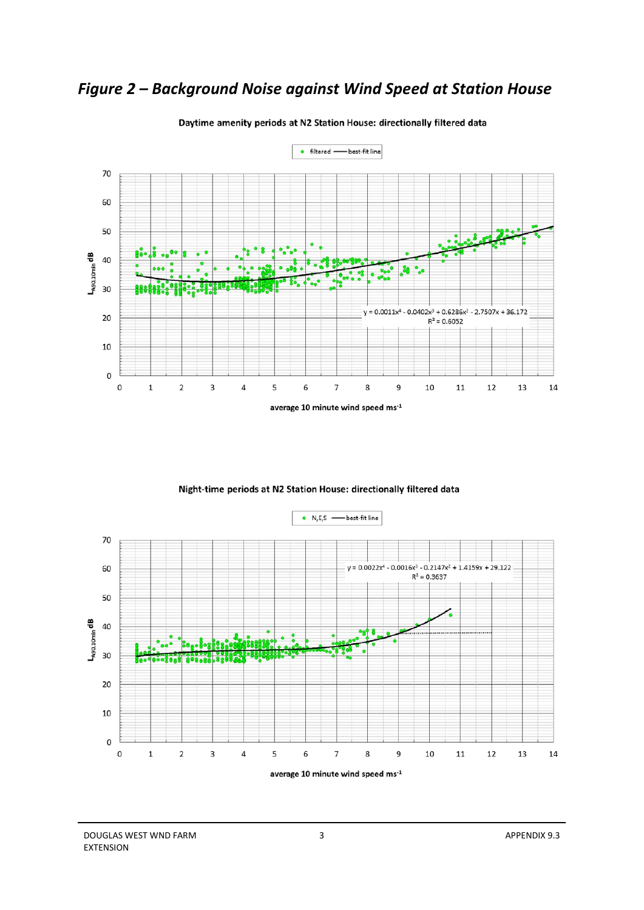### <span id="page-4-0"></span>*Figure 2 – Background Noise against Wind Speed at Station House*



Daytime amenity periods at N2 Station House: directionally filtered data

### Night-time periods at N2 Station House: directionally filtered data